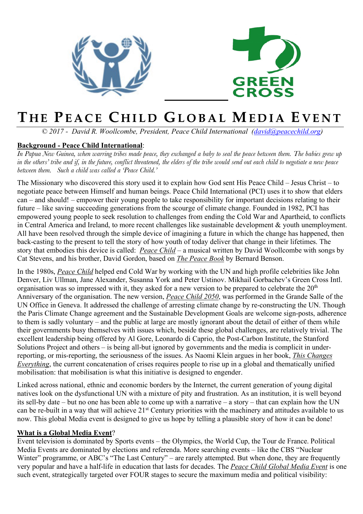



## **T HE PEACE C HILD GLOBAL MEDIA E VENT**

*© 2017 - David R. Woollcombe, President, Peace Child International (david@peacechild.org)*

## **Background - Peace Child International**:

*In Papua New Guinea, when warring tribes made peace, they exchanged a baby to seal the peace between them. The babies grew up in the others' tribe and if, in the future, conflict threatened, the elders of the tribe would send out each child to negotiate a new peace between them. Such a child was called a 'Peace Child.'*

The Missionary who discovered this story used it to explain how God sent His Peace Child – Jesus Christ – to negotiate peace between Himself and human beings. Peace Child International (PCI) uses it to show that elders can – and should! – empower their young people to take responsibility for important decisions relating to their future – like saving succeeding generations from the scourge of climate change. Founded in 1982, PCI has empowered young people to seek resolution to challenges from ending the Cold War and Apartheid, to conflicts in Central America and Ireland, to more recent challenges like sustainable development & youth unemployment. All have been resolved through the simple device of imagining a future in which the change has happened, then back-casting to the present to tell the story of how youth of today deliver that change in their lifetimes. The story that embodies this device is called: *Peace Child* – a musical written by David Woollcombe with songs by Cat Stevens, and his brother, David Gordon, based on *The Peace Book* by Bernard Benson.

In the 1980s, *Peace Child* helped end Cold War by working with the UN and high profile celebrities like John Denver, Liv Ullman, Jane Alexander, Susanna York and Peter Ustinov. Mikhail Gorbachev's Green Cross Intl. organisation was so impressed with it, they asked for a new version to be prepared to celebrate the 20<sup>th</sup> Anniversary of the organisation. The new version, *Peace Child 2050*, was performed in the Grande Salle of the UN Office in Geneva. It addressed the challenge of arresting climate change by re-constructing the UN. Though the Paris Climate Change agreement and the Sustainable Development Goals are welcome sign-posts, adherence to them is sadly voluntary – and the public at large are mostly ignorant about the detail of either of them while their governments busy themselves with issues which, beside these global challenges, are relatively trivial. The excellent leadership being offered by Al Gore, Leonardo di Caprio, the Post-Carbon Institute, the Stanford Solutions Project and others – is being all-but ignored by governments and the media is complicit in underreporting, or mis-reporting, the seriousness of the issues. As Naomi Klein argues in her book, *This Changes Everything*, the current concatenation of crises requires people to rise up in a global and thematically unified mobilisation: that mobilisation is what this initiative is designed to engender.

Linked across national, ethnic and economic borders by the Internet, the current generation of young digital natives look on the dysfunctional UN with a mixture of pity and frustration. As an institution, it is well beyond its sell-by date – but no one has been able to come up with a narrative – a story – that can explain how the UN can be re-built in a way that will achieve 21st Century priorities with the machinery and attitudes available to us now. This global Media event is designed to give us hope by telling a plausible story of how it can be done!

## **What is a Global Media Event**?

Event television is dominated by Sports events – the Olympics, the World Cup, the Tour de France. Political Media Events are dominated by elections and referenda. More searching events – like the CBS "Nuclear Winter" programme, or ABC's "The Last Century" – are rarely attempted. But when done, they are frequently very popular and have a half-life in education that lasts for decades. The *Peace Child Global Media Event* is one such event, strategically targeted over FOUR stages to secure the maximum media and political visibility: